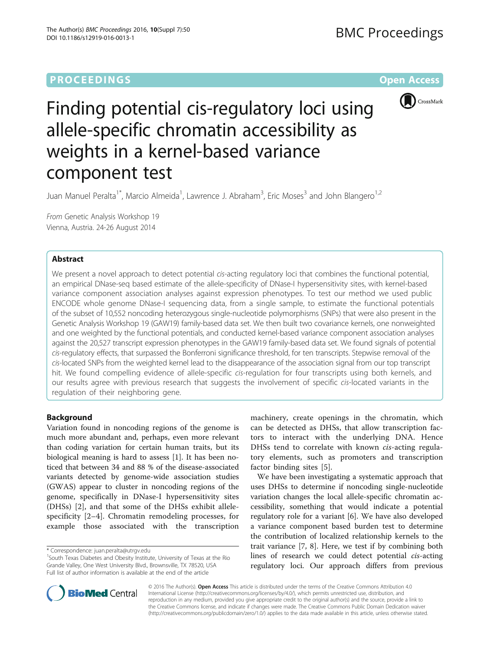# **PROCEEDINGS CONSUMING SECTION CONSUMING SECTION CONSUMING SECTION CONSUMING SECTION CONSUMING SECTION CONSUMING SECTION CONSUMING SECTION CONSUMING SECTION CONSUMING SECTION CONSUMING SECTION CONSUMING SECTION CONSUMING**



# Finding potential cis-regulatory loci using allele-specific chromatin accessibility as weights in a kernel-based variance component test

Juan Manuel Peralta<sup>1\*</sup>, Marcio Almeida<sup>1</sup>, Lawrence J. Abraham<sup>3</sup>, Eric Moses<sup>3</sup> and John Blangero<sup>1,2</sup>

From Genetic Analysis Workshop 19 Vienna, Austria. 24-26 August 2014

# Abstract

We present a novel approach to detect potential *cis*-acting regulatory loci that combines the functional potential, an empirical DNase-seq based estimate of the allele-specificity of DNase-I hypersensitivity sites, with kernel-based variance component association analyses against expression phenotypes. To test our method we used public ENCODE whole genome DNase-I sequencing data, from a single sample, to estimate the functional potentials of the subset of 10,552 noncoding heterozygous single-nucleotide polymorphisms (SNPs) that were also present in the Genetic Analysis Workshop 19 (GAW19) family-based data set. We then built two covariance kernels, one nonweighted and one weighted by the functional potentials, and conducted kernel-based variance component association analyses against the 20,527 transcript expression phenotypes in the GAW19 family-based data set. We found signals of potential cis-regulatory effects, that surpassed the Bonferroni significance threshold, for ten transcripts. Stepwise removal of the cis-located SNPs from the weighted kernel lead to the disappearance of the association signal from our top transcript hit. We found compelling evidence of allele-specific cis-regulation for four transcripts using both kernels, and our results agree with previous research that suggests the involvement of specific cis-located variants in the regulation of their neighboring gene.

# Background

Variation found in noncoding regions of the genome is much more abundant and, perhaps, even more relevant than coding variation for certain human traits, but its biological meaning is hard to assess [1]. It has been noticed that between 34 and 88 % of the disease-associated variants detected by genome-wide association studies (GWAS) appear to cluster in noncoding regions of the genome, specifically in DNase-I hypersensitivity sites (DHSs) [2], and that some of the DHSs exhibit allelespecificity [2–4]. Chromatin remodeling processes, for example those associated with the transcription

machinery, create openings in the chromatin, which can be detected as DHSs, that allow transcription factors to interact with the underlying DNA. Hence DHSs tend to correlate with known *cis-acting regula*tory elements, such as promoters and transcription factor binding sites [5].

We have been investigating a systematic approach that uses DHSs to determine if noncoding single-nucleotide variation changes the local allele-specific chromatin accessibility, something that would indicate a potential regulatory role for a variant [6]. We have also developed a variance component based burden test to determine the contribution of localized relationship kernels to the trait variance [7, 8]. Here, we test if by combining both lines of research we could detect potential cis-acting regulatory loci. Our approach differs from previous



© 2016 The Author(s). Open Access This article is distributed under the terms of the Creative Commons Attribution 4.0 International License [\(http://creativecommons.org/licenses/by/4.0/](http://creativecommons.org/licenses/by/4.0/)), which permits unrestricted use, distribution, and reproduction in any medium, provided you give appropriate credit to the original author(s) and the source, provide a link to the Creative Commons license, and indicate if changes were made. The Creative Commons Public Domain Dedication waiver [\(http://creativecommons.org/publicdomain/zero/1.0/](http://creativecommons.org/publicdomain/zero/1.0/)) applies to the data made available in this article, unless otherwise stated.

<sup>\*</sup> Correspondence: [juan.peralta@utrgv.edu](mailto:juan.peralta@utrgv.edu) <sup>1</sup>

 $1$ South Texas Diabetes and Obesity Institute, University of Texas at the Rio Grande Valley, One West University Blvd., Brownsville, TX 78520, USA Full list of author information is available at the end of the article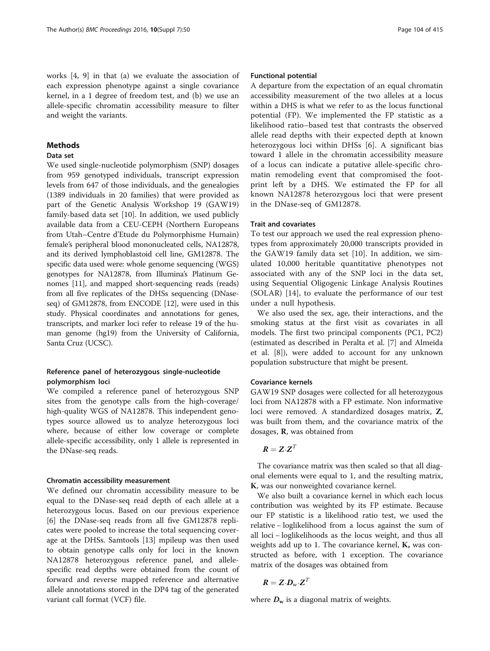works [4, 9] in that (a) we evaluate the association of each expression phenotype against a single covariance kernel, in a 1 degree of freedom test, and (b) we use an allele-specific chromatin accessibility measure to filter and weight the variants.

# Methods

#### Data set

We used single-nucleotide polymorphism (SNP) dosages from 959 genotyped individuals, transcript expression levels from 647 of those individuals, and the genealogies (1389 individuals in 20 families) that were provided as part of the Genetic Analysis Workshop 19 (GAW19) family-based data set [10]. In addition, we used publicly available data from a CEU-CEPH (Northern Europeans from Utah–Centre d'Etude du Polymorphisme Humain) female's peripheral blood mononucleated cells, NA12878, and its derived lymphoblastoid cell line, GM12878. The specific data used were: whole genome sequencing (WGS) genotypes for NA12878, from Illumina's Platinum Genomes [11], and mapped short-sequencing reads (reads) from all five replicates of the DHSs sequencing (DNaseseq) of GM12878, from ENCODE [12], were used in this study. Physical coordinates and annotations for genes, transcripts, and marker loci refer to release 19 of the human genome (hg19) from the University of California, Santa Cruz (UCSC).

# Reference panel of heterozygous single-nucleotide polymorphism loci

We compiled a reference panel of heterozygous SNP sites from the genotype calls from the high-coverage/ high-quality WGS of NA12878. This independent genotypes source allowed us to analyze heterozygous loci where, because of either low coverage or complete allele-specific accessibility, only 1 allele is represented in the DNase-seq reads.

#### Chromatin accessibility measurement

We defined our chromatin accessibility measure to be equal to the DNase-seq read depth of each allele at a heterozygous locus. Based on our previous experience [6] the DNase-seq reads from all five GM12878 replicates were pooled to increase the total sequencing coverage at the DHSs. Samtools [13] mpileup was then used to obtain genotype calls only for loci in the known NA12878 heterozygous reference panel, and allelespecific read depths were obtained from the count of forward and reverse mapped reference and alternative allele annotations stored in the DP4 tag of the generated variant call format (VCF) file.

# Functional potential

A departure from the expectation of an equal chromatin accessibility measurement of the two alleles at a locus within a DHS is what we refer to as the locus functional potential (FP). We implemented the FP statistic as a likelihood ratio–based test that contrasts the observed allele read depths with their expected depth at known heterozygous loci within DHSs [6]. A significant bias toward 1 allele in the chromatin accessibility measure of a locus can indicate a putative allele-specific chromatin remodeling event that compromised the footprint left by a DHS. We estimated the FP for all known NA12878 heterozygous loci that were present in the DNase-seq of GM12878.

# Trait and covariates

To test our approach we used the real expression phenotypes from approximately 20,000 transcripts provided in the GAW19 family data set [10]. In addition, we simulated 10,000 heritable quantitative phenotypes not associated with any of the SNP loci in the data set, using Sequential Oligogenic Linkage Analysis Routines (SOLAR) [14], to evaluate the performance of our test under a null hypothesis.

We also used the sex, age, their interactions, and the smoking status at the first visit as covariates in all models. The first two principal components (PC1, PC2) (estimated as described in Peralta et al. [7] and Almeida et al. [8]), were added to account for any unknown population substructure that might be present.

### Covariance kernels

GAW19 SNP dosages were collected for all heterozygous loci from NA12878 with a FP estimate. Non informative loci were removed. A standardized dosages matrix, Z, was built from them, and the covariance matrix of the dosages, R, was obtained from

$$
R=Z\cdot Z^T
$$

The covariance matrix was then scaled so that all diagonal elements were equal to 1, and the resulting matrix, K, was our nonweighted covariance kernel.

We also built a covariance kernel in which each locus contribution was weighted by its FP estimate. Because our FP statistic is a likelihood ratio test, we used the relative − loglikelihood from a locus against the sum of all loci − loglikelihoods as the locus weight, and thus all weights add up to 1. The covariance kernel, K, was constructed as before, with 1 exception. The covariance matrix of the dosages was obtained from

$$
\boldsymbol{R} = \boldsymbol{Z} \cdot \boldsymbol{D}_{w} \cdot \boldsymbol{Z}^{T}
$$

where  $D_w$  is a diagonal matrix of weights.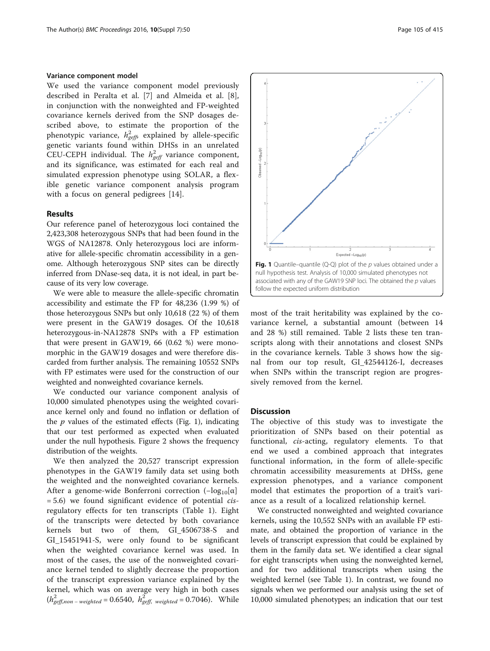#### Variance component model

We used the variance component model previously described in Peralta et al. [7] and Almeida et al. [8], in conjunction with the nonweighted and FP-weighted covariance kernels derived from the SNP dosages described above, to estimate the proportion of the phenotypic variance,  $h^2_{\mathit{geff}}$  explained by allele-specific genetic variants found within DHSs in an unrelated CEU-CEPH individual. The  $h_{\text{geff}}^2$  variance component, and its significance, was estimated for each real and simulated expression phenotype using SOLAR, a flexible genetic variance component analysis program with a focus on general pedigrees [14].

#### Results

Our reference panel of heterozygous loci contained the 2,423,308 heterozygous SNPs that had been found in the WGS of NA12878. Only heterozygous loci are informative for allele-specific chromatin accessibility in a genome. Although heterozygous SNP sites can be directly inferred from DNase-seq data, it is not ideal, in part because of its very low coverage.

We were able to measure the allele-specific chromatin accessibility and estimate the FP for 48,236 (1.99 %) of those heterozygous SNPs but only 10,618 (22 %) of them were present in the GAW19 dosages. Of the 10,618 heterozygous-in-NA12878 SNPs with a FP estimation that were present in GAW19, 66 (0.62 %) were monomorphic in the GAW19 dosages and were therefore discarded from further analysis. The remaining 10552 SNPs with FP estimates were used for the construction of our weighted and nonweighted covariance kernels.

We conducted our variance component analysis of 10,000 simulated phenotypes using the weighted covariance kernel only and found no inflation or deflation of the  $p$  values of the estimated effects (Fig. 1), indicating that our test performed as expected when evaluated under the null hypothesis. Figure 2 shows the frequency distribution of the weights.

We then analyzed the 20,527 transcript expression phenotypes in the GAW19 family data set using both the weighted and the nonweighted covariance kernels. After a genome-wide Bonferroni correction  $(-\log_{10}[\alpha])$  $= 5.6$ ) we found significant evidence of potential *cis*regulatory effects for ten transcripts (Table 1). Eight of the transcripts were detected by both covariance kernels but two of them, GI\_4506738-S and GI\_15451941-S, were only found to be significant when the weighted covariance kernel was used. In most of the cases, the use of the nonweighted covariance kernel tended to slightly decrease the proportion of the transcript expression variance explained by the kernel, which was on average very high in both cases  $(h_{\text{geff,non-weighted}}^2 = 0.6540, h_{\text{geff, weighted}}^2 = 0.7046)$ . While



most of the trait heritability was explained by the covariance kernel, a substantial amount (between 14 and 28 %) still remained. Table 2 lists these ten transcripts along with their annotations and closest SNPs in the covariance kernels. Table 3 shows how the signal from our top result, GI\_42544126-I, decreases when SNPs within the transcript region are progressively removed from the kernel.

#### **Discussion**

The objective of this study was to investigate the prioritization of SNPs based on their potential as functional, cis-acting, regulatory elements. To that end we used a combined approach that integrates functional information, in the form of allele-specific chromatin accessibility measurements at DHSs, gene expression phenotypes, and a variance component model that estimates the proportion of a trait's variance as a result of a localized relationship kernel.

We constructed nonweighted and weighted covariance kernels, using the 10,552 SNPs with an available FP estimate, and obtained the proportion of variance in the levels of transcript expression that could be explained by them in the family data set. We identified a clear signal for eight transcripts when using the nonweighted kernel, and for two additional transcripts when using the weighted kernel (see Table 1). In contrast, we found no signals when we performed our analysis using the set of 10,000 simulated phenotypes; an indication that our test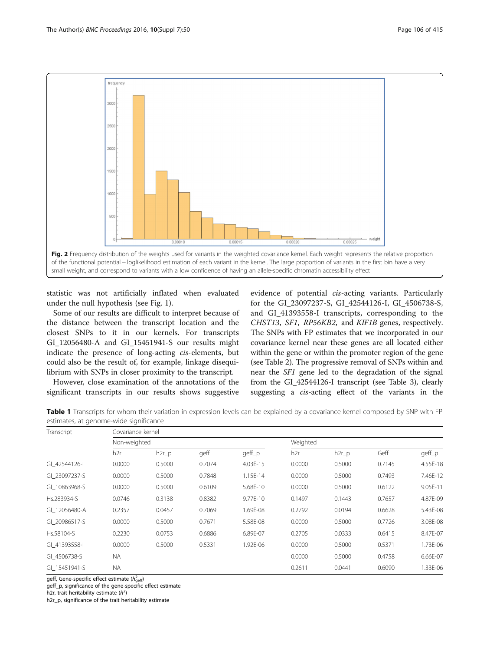

statistic was not artificially inflated when evaluated under the null hypothesis (see Fig. 1).

Some of our results are difficult to interpret because of the distance between the transcript location and the closest SNPs to it in our kernels. For transcripts GI\_12056480-A and GI\_15451941-S our results might indicate the presence of long-acting cis-elements, but could also be the result of, for example, linkage disequilibrium with SNPs in closer proximity to the transcript.

However, close examination of the annotations of the significant transcripts in our results shows suggestive

evidence of potential cis-acting variants. Particularly for the GI\_23097237-S, GI\_42544126-I, GI\_4506738-S, and GI\_41393558-I transcripts, corresponding to the CHST13, SF1, RP56KB2, and KIF1B genes, respectively. The SNPs with FP estimates that we incorporated in our covariance kernel near these genes are all located either within the gene or within the promoter region of the gene (see Table 2). The progressive removal of SNPs within and near the SF1 gene led to the degradation of the signal from the GI\_42544126-I transcript (see Table 3), clearly suggesting a cis-acting effect of the variants in the

Table 1 Transcripts for whom their variation in expression levels can be explained by a covariance kernel composed by SNP with FP estimates, at genome-wide significance

| Transcript    | Covariance kernel |          |        |          |          |          |        |          |  |  |
|---------------|-------------------|----------|--------|----------|----------|----------|--------|----------|--|--|
|               | Non-weighted      |          |        |          | Weighted |          |        |          |  |  |
|               | h2r               | $h2r$ _p | geff   | geff_p   | h2r      | $h2r$ _p | Geff   | geff_p   |  |  |
| GI 42544126-I | 0.0000            | 0.5000   | 0.7074 | 4.03E-15 | 0.0000   | 0.5000   | 0.7145 | 4.55E-18 |  |  |
| GI 23097237-S | 0.0000            | 0.5000   | 0.7848 | 1.15E-14 | 0.0000   | 0.5000   | 0.7493 | 7.46E-12 |  |  |
| GI 10863968-S | 0.0000            | 0.5000   | 0.6109 | 5.68E-10 | 0.0000   | 0.5000   | 0.6122 | 9.05E-11 |  |  |
| Hs.283934-S   | 0.0746            | 0.3138   | 0.8382 | 9.77E-10 | 0.1497   | 0.1443   | 0.7657 | 4.87E-09 |  |  |
| GI 12056480-A | 0.2357            | 0.0457   | 0.7069 | 1.69E-08 | 0.2792   | 0.0194   | 0.6628 | 5.43E-08 |  |  |
| GI 20986517-S | 0.0000            | 0.5000   | 0.7671 | 5.58E-08 | 0.0000   | 0.5000   | 0.7726 | 3.08E-08 |  |  |
| Hs.58104-S    | 0.2230            | 0.0753   | 0.6886 | 6.89E-07 | 0.2705   | 0.0333   | 0.6415 | 8.47E-07 |  |  |
| GI 41393558-I | 0.0000            | 0.5000   | 0.5331 | 1.92E-06 | 0.0000   | 0.5000   | 0.5371 | 1.73E-06 |  |  |
| GI 4506738-S  | NA.               |          |        |          | 0.0000   | 0.5000   | 0.4758 | 6.66E-07 |  |  |
| GI 15451941-S | NA.               |          |        |          | 0.2611   | 0.0441   | 0.6090 | 1.33E-06 |  |  |

geff, Gene-specific effect estimate ( $h^2_\mathrm{geff}$ )

geff\_p, significance of the gene-specific effect estimate

h2r, trait heritability estimate  $(h^2)$ 

h2r\_p, significance of the trait heritability estimate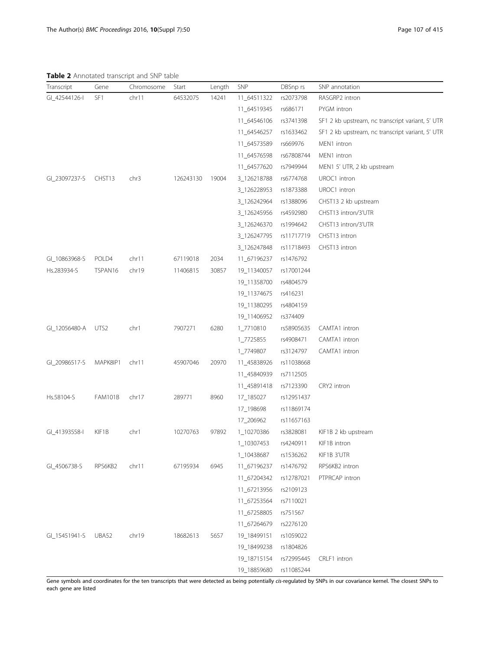Table 2 Annotated transcript and SNP table

| GI_42544126-I<br>SF1<br>64532075<br>11_64511322<br>RASGRP2 intron<br>chr11<br>14241<br>rs2073798<br>11_64519345<br>rs686171<br>PYGM intron<br>11 64546106<br>rs3741398<br>SF1 2 kb upstream, nc transcript variant, 5' UTF<br>SF1 2 kb upstream, nc transcript variant, 5' UTF<br>11_64546257<br>rs1633462<br>11_64573589<br>rs669976<br>MEN1 intron<br>11_64576598<br>rs67808744<br>MEN1 intron<br>11_64577620<br>rs7949944<br>MEN1 5' UTR, 2 kb upstream<br>GI_23097237-S<br>CHST13<br>chr3<br>126243130<br>19004<br>3_126218788<br>rs6774768<br>UROC1 intron<br>3_126228953<br>rs1873388<br>UROC1 intron<br>3_126242964<br>rs1388096<br>CHST13 2 kb upstream<br>3_126245956<br>rs4592980<br>CHST13 intron/3'UTR<br>3_126246370<br>rs1994642<br>CHST13 intron/3'UTR<br>3_126247795<br>rs11717719<br>CHST13 intron<br>3_126247848<br>CHST13 intron<br>rs11718493<br>GI_10863968-S<br>POLD4<br>chr11<br>67119018<br>2034<br>11 67196237<br>rs1476792<br>TSPAN16<br>chr19<br>Hs.283934-S<br>11406815<br>30857<br>19_11340057<br>rs17001244<br>19_11358700<br>rs4804579<br>19_11374675<br>rs416231<br>19_11380295<br>rs4804159<br>19_11406952<br>rs374409<br>GI_12056480-A<br>UTS <sub>2</sub><br>chr1<br>7907271<br>6280<br>1_7710810<br>CAMTA1 intron<br>rs58905635<br>1_7725855<br>rs4908471<br>CAMTA1 intron<br>1_7749807<br>rs3124797<br>CAMTA1 intron<br>GI_20986517-S<br>MAPK8IP1<br>chr11<br>45907046<br>20970<br>11_45838926<br>rs11038668<br>11_45840939<br>rs7112505<br>11_45891418<br>CRY2 intron<br>rs7123390<br><b>FAM101B</b><br>chr17<br>289771<br>8960<br>17_185027<br>rs12951437<br>17_198698<br>rs11869174<br>17_206962<br>rs11657163<br>KIF1B<br>chr1<br>10270763<br>97892<br>1_10270386<br>rs3828081<br>KIF1B 2 kb upstream<br>1_10307453<br>rs4240911<br>KIF1B intron<br>rs1536262<br>KIF1B 3'UTR<br>1_10438687<br>RPS6KB2<br>chr11<br>67195934<br>6945<br>11_67196237<br>rs1476792<br>RPS6KB2 intron<br>PTPRCAP intron<br>11_67204342<br>rs12787021<br>11_67213956<br>rs2109123<br>11_67253564<br>rs7110021<br>11_67258805<br>rs751567<br>11_67264679<br>rs2276120<br>UBA52<br>chr19<br>18682613<br>5657<br>19_18499151<br>rs1059022<br>19_18499238<br>rs1804826<br>19_18715154<br>rs72995445<br>CRLF1 intron<br>19_18859680<br>rs11085244 | Transcript    | Gene | <b>TUDIC 2</b> / WILDCOLCO GOLDCIPT ONO JIM GODIC<br>Chromosome | Start | Length | SNP | DBSnp rs | SNP annotation |
|-----------------------------------------------------------------------------------------------------------------------------------------------------------------------------------------------------------------------------------------------------------------------------------------------------------------------------------------------------------------------------------------------------------------------------------------------------------------------------------------------------------------------------------------------------------------------------------------------------------------------------------------------------------------------------------------------------------------------------------------------------------------------------------------------------------------------------------------------------------------------------------------------------------------------------------------------------------------------------------------------------------------------------------------------------------------------------------------------------------------------------------------------------------------------------------------------------------------------------------------------------------------------------------------------------------------------------------------------------------------------------------------------------------------------------------------------------------------------------------------------------------------------------------------------------------------------------------------------------------------------------------------------------------------------------------------------------------------------------------------------------------------------------------------------------------------------------------------------------------------------------------------------------------------------------------------------------------------------------------------------------------------------------------------------------------------------------------------------------------------------------------------------------------------------------------------------------------------------------------------------------------------|---------------|------|-----------------------------------------------------------------|-------|--------|-----|----------|----------------|
|                                                                                                                                                                                                                                                                                                                                                                                                                                                                                                                                                                                                                                                                                                                                                                                                                                                                                                                                                                                                                                                                                                                                                                                                                                                                                                                                                                                                                                                                                                                                                                                                                                                                                                                                                                                                                                                                                                                                                                                                                                                                                                                                                                                                                                                                 |               |      |                                                                 |       |        |     |          |                |
|                                                                                                                                                                                                                                                                                                                                                                                                                                                                                                                                                                                                                                                                                                                                                                                                                                                                                                                                                                                                                                                                                                                                                                                                                                                                                                                                                                                                                                                                                                                                                                                                                                                                                                                                                                                                                                                                                                                                                                                                                                                                                                                                                                                                                                                                 |               |      |                                                                 |       |        |     |          |                |
|                                                                                                                                                                                                                                                                                                                                                                                                                                                                                                                                                                                                                                                                                                                                                                                                                                                                                                                                                                                                                                                                                                                                                                                                                                                                                                                                                                                                                                                                                                                                                                                                                                                                                                                                                                                                                                                                                                                                                                                                                                                                                                                                                                                                                                                                 |               |      |                                                                 |       |        |     |          |                |
|                                                                                                                                                                                                                                                                                                                                                                                                                                                                                                                                                                                                                                                                                                                                                                                                                                                                                                                                                                                                                                                                                                                                                                                                                                                                                                                                                                                                                                                                                                                                                                                                                                                                                                                                                                                                                                                                                                                                                                                                                                                                                                                                                                                                                                                                 |               |      |                                                                 |       |        |     |          |                |
|                                                                                                                                                                                                                                                                                                                                                                                                                                                                                                                                                                                                                                                                                                                                                                                                                                                                                                                                                                                                                                                                                                                                                                                                                                                                                                                                                                                                                                                                                                                                                                                                                                                                                                                                                                                                                                                                                                                                                                                                                                                                                                                                                                                                                                                                 |               |      |                                                                 |       |        |     |          |                |
|                                                                                                                                                                                                                                                                                                                                                                                                                                                                                                                                                                                                                                                                                                                                                                                                                                                                                                                                                                                                                                                                                                                                                                                                                                                                                                                                                                                                                                                                                                                                                                                                                                                                                                                                                                                                                                                                                                                                                                                                                                                                                                                                                                                                                                                                 |               |      |                                                                 |       |        |     |          |                |
|                                                                                                                                                                                                                                                                                                                                                                                                                                                                                                                                                                                                                                                                                                                                                                                                                                                                                                                                                                                                                                                                                                                                                                                                                                                                                                                                                                                                                                                                                                                                                                                                                                                                                                                                                                                                                                                                                                                                                                                                                                                                                                                                                                                                                                                                 |               |      |                                                                 |       |        |     |          |                |
|                                                                                                                                                                                                                                                                                                                                                                                                                                                                                                                                                                                                                                                                                                                                                                                                                                                                                                                                                                                                                                                                                                                                                                                                                                                                                                                                                                                                                                                                                                                                                                                                                                                                                                                                                                                                                                                                                                                                                                                                                                                                                                                                                                                                                                                                 |               |      |                                                                 |       |        |     |          |                |
|                                                                                                                                                                                                                                                                                                                                                                                                                                                                                                                                                                                                                                                                                                                                                                                                                                                                                                                                                                                                                                                                                                                                                                                                                                                                                                                                                                                                                                                                                                                                                                                                                                                                                                                                                                                                                                                                                                                                                                                                                                                                                                                                                                                                                                                                 |               |      |                                                                 |       |        |     |          |                |
|                                                                                                                                                                                                                                                                                                                                                                                                                                                                                                                                                                                                                                                                                                                                                                                                                                                                                                                                                                                                                                                                                                                                                                                                                                                                                                                                                                                                                                                                                                                                                                                                                                                                                                                                                                                                                                                                                                                                                                                                                                                                                                                                                                                                                                                                 |               |      |                                                                 |       |        |     |          |                |
|                                                                                                                                                                                                                                                                                                                                                                                                                                                                                                                                                                                                                                                                                                                                                                                                                                                                                                                                                                                                                                                                                                                                                                                                                                                                                                                                                                                                                                                                                                                                                                                                                                                                                                                                                                                                                                                                                                                                                                                                                                                                                                                                                                                                                                                                 |               |      |                                                                 |       |        |     |          |                |
|                                                                                                                                                                                                                                                                                                                                                                                                                                                                                                                                                                                                                                                                                                                                                                                                                                                                                                                                                                                                                                                                                                                                                                                                                                                                                                                                                                                                                                                                                                                                                                                                                                                                                                                                                                                                                                                                                                                                                                                                                                                                                                                                                                                                                                                                 |               |      |                                                                 |       |        |     |          |                |
|                                                                                                                                                                                                                                                                                                                                                                                                                                                                                                                                                                                                                                                                                                                                                                                                                                                                                                                                                                                                                                                                                                                                                                                                                                                                                                                                                                                                                                                                                                                                                                                                                                                                                                                                                                                                                                                                                                                                                                                                                                                                                                                                                                                                                                                                 |               |      |                                                                 |       |        |     |          |                |
|                                                                                                                                                                                                                                                                                                                                                                                                                                                                                                                                                                                                                                                                                                                                                                                                                                                                                                                                                                                                                                                                                                                                                                                                                                                                                                                                                                                                                                                                                                                                                                                                                                                                                                                                                                                                                                                                                                                                                                                                                                                                                                                                                                                                                                                                 |               |      |                                                                 |       |        |     |          |                |
|                                                                                                                                                                                                                                                                                                                                                                                                                                                                                                                                                                                                                                                                                                                                                                                                                                                                                                                                                                                                                                                                                                                                                                                                                                                                                                                                                                                                                                                                                                                                                                                                                                                                                                                                                                                                                                                                                                                                                                                                                                                                                                                                                                                                                                                                 |               |      |                                                                 |       |        |     |          |                |
|                                                                                                                                                                                                                                                                                                                                                                                                                                                                                                                                                                                                                                                                                                                                                                                                                                                                                                                                                                                                                                                                                                                                                                                                                                                                                                                                                                                                                                                                                                                                                                                                                                                                                                                                                                                                                                                                                                                                                                                                                                                                                                                                                                                                                                                                 |               |      |                                                                 |       |        |     |          |                |
|                                                                                                                                                                                                                                                                                                                                                                                                                                                                                                                                                                                                                                                                                                                                                                                                                                                                                                                                                                                                                                                                                                                                                                                                                                                                                                                                                                                                                                                                                                                                                                                                                                                                                                                                                                                                                                                                                                                                                                                                                                                                                                                                                                                                                                                                 |               |      |                                                                 |       |        |     |          |                |
|                                                                                                                                                                                                                                                                                                                                                                                                                                                                                                                                                                                                                                                                                                                                                                                                                                                                                                                                                                                                                                                                                                                                                                                                                                                                                                                                                                                                                                                                                                                                                                                                                                                                                                                                                                                                                                                                                                                                                                                                                                                                                                                                                                                                                                                                 |               |      |                                                                 |       |        |     |          |                |
|                                                                                                                                                                                                                                                                                                                                                                                                                                                                                                                                                                                                                                                                                                                                                                                                                                                                                                                                                                                                                                                                                                                                                                                                                                                                                                                                                                                                                                                                                                                                                                                                                                                                                                                                                                                                                                                                                                                                                                                                                                                                                                                                                                                                                                                                 |               |      |                                                                 |       |        |     |          |                |
|                                                                                                                                                                                                                                                                                                                                                                                                                                                                                                                                                                                                                                                                                                                                                                                                                                                                                                                                                                                                                                                                                                                                                                                                                                                                                                                                                                                                                                                                                                                                                                                                                                                                                                                                                                                                                                                                                                                                                                                                                                                                                                                                                                                                                                                                 |               |      |                                                                 |       |        |     |          |                |
|                                                                                                                                                                                                                                                                                                                                                                                                                                                                                                                                                                                                                                                                                                                                                                                                                                                                                                                                                                                                                                                                                                                                                                                                                                                                                                                                                                                                                                                                                                                                                                                                                                                                                                                                                                                                                                                                                                                                                                                                                                                                                                                                                                                                                                                                 |               |      |                                                                 |       |        |     |          |                |
|                                                                                                                                                                                                                                                                                                                                                                                                                                                                                                                                                                                                                                                                                                                                                                                                                                                                                                                                                                                                                                                                                                                                                                                                                                                                                                                                                                                                                                                                                                                                                                                                                                                                                                                                                                                                                                                                                                                                                                                                                                                                                                                                                                                                                                                                 |               |      |                                                                 |       |        |     |          |                |
|                                                                                                                                                                                                                                                                                                                                                                                                                                                                                                                                                                                                                                                                                                                                                                                                                                                                                                                                                                                                                                                                                                                                                                                                                                                                                                                                                                                                                                                                                                                                                                                                                                                                                                                                                                                                                                                                                                                                                                                                                                                                                                                                                                                                                                                                 |               |      |                                                                 |       |        |     |          |                |
|                                                                                                                                                                                                                                                                                                                                                                                                                                                                                                                                                                                                                                                                                                                                                                                                                                                                                                                                                                                                                                                                                                                                                                                                                                                                                                                                                                                                                                                                                                                                                                                                                                                                                                                                                                                                                                                                                                                                                                                                                                                                                                                                                                                                                                                                 |               |      |                                                                 |       |        |     |          |                |
|                                                                                                                                                                                                                                                                                                                                                                                                                                                                                                                                                                                                                                                                                                                                                                                                                                                                                                                                                                                                                                                                                                                                                                                                                                                                                                                                                                                                                                                                                                                                                                                                                                                                                                                                                                                                                                                                                                                                                                                                                                                                                                                                                                                                                                                                 |               |      |                                                                 |       |        |     |          |                |
|                                                                                                                                                                                                                                                                                                                                                                                                                                                                                                                                                                                                                                                                                                                                                                                                                                                                                                                                                                                                                                                                                                                                                                                                                                                                                                                                                                                                                                                                                                                                                                                                                                                                                                                                                                                                                                                                                                                                                                                                                                                                                                                                                                                                                                                                 |               |      |                                                                 |       |        |     |          |                |
|                                                                                                                                                                                                                                                                                                                                                                                                                                                                                                                                                                                                                                                                                                                                                                                                                                                                                                                                                                                                                                                                                                                                                                                                                                                                                                                                                                                                                                                                                                                                                                                                                                                                                                                                                                                                                                                                                                                                                                                                                                                                                                                                                                                                                                                                 | Hs.58104-S    |      |                                                                 |       |        |     |          |                |
|                                                                                                                                                                                                                                                                                                                                                                                                                                                                                                                                                                                                                                                                                                                                                                                                                                                                                                                                                                                                                                                                                                                                                                                                                                                                                                                                                                                                                                                                                                                                                                                                                                                                                                                                                                                                                                                                                                                                                                                                                                                                                                                                                                                                                                                                 |               |      |                                                                 |       |        |     |          |                |
|                                                                                                                                                                                                                                                                                                                                                                                                                                                                                                                                                                                                                                                                                                                                                                                                                                                                                                                                                                                                                                                                                                                                                                                                                                                                                                                                                                                                                                                                                                                                                                                                                                                                                                                                                                                                                                                                                                                                                                                                                                                                                                                                                                                                                                                                 |               |      |                                                                 |       |        |     |          |                |
|                                                                                                                                                                                                                                                                                                                                                                                                                                                                                                                                                                                                                                                                                                                                                                                                                                                                                                                                                                                                                                                                                                                                                                                                                                                                                                                                                                                                                                                                                                                                                                                                                                                                                                                                                                                                                                                                                                                                                                                                                                                                                                                                                                                                                                                                 | GI_41393558-I |      |                                                                 |       |        |     |          |                |
|                                                                                                                                                                                                                                                                                                                                                                                                                                                                                                                                                                                                                                                                                                                                                                                                                                                                                                                                                                                                                                                                                                                                                                                                                                                                                                                                                                                                                                                                                                                                                                                                                                                                                                                                                                                                                                                                                                                                                                                                                                                                                                                                                                                                                                                                 |               |      |                                                                 |       |        |     |          |                |
|                                                                                                                                                                                                                                                                                                                                                                                                                                                                                                                                                                                                                                                                                                                                                                                                                                                                                                                                                                                                                                                                                                                                                                                                                                                                                                                                                                                                                                                                                                                                                                                                                                                                                                                                                                                                                                                                                                                                                                                                                                                                                                                                                                                                                                                                 |               |      |                                                                 |       |        |     |          |                |
|                                                                                                                                                                                                                                                                                                                                                                                                                                                                                                                                                                                                                                                                                                                                                                                                                                                                                                                                                                                                                                                                                                                                                                                                                                                                                                                                                                                                                                                                                                                                                                                                                                                                                                                                                                                                                                                                                                                                                                                                                                                                                                                                                                                                                                                                 | GI_4506738-S  |      |                                                                 |       |        |     |          |                |
|                                                                                                                                                                                                                                                                                                                                                                                                                                                                                                                                                                                                                                                                                                                                                                                                                                                                                                                                                                                                                                                                                                                                                                                                                                                                                                                                                                                                                                                                                                                                                                                                                                                                                                                                                                                                                                                                                                                                                                                                                                                                                                                                                                                                                                                                 |               |      |                                                                 |       |        |     |          |                |
|                                                                                                                                                                                                                                                                                                                                                                                                                                                                                                                                                                                                                                                                                                                                                                                                                                                                                                                                                                                                                                                                                                                                                                                                                                                                                                                                                                                                                                                                                                                                                                                                                                                                                                                                                                                                                                                                                                                                                                                                                                                                                                                                                                                                                                                                 |               |      |                                                                 |       |        |     |          |                |
|                                                                                                                                                                                                                                                                                                                                                                                                                                                                                                                                                                                                                                                                                                                                                                                                                                                                                                                                                                                                                                                                                                                                                                                                                                                                                                                                                                                                                                                                                                                                                                                                                                                                                                                                                                                                                                                                                                                                                                                                                                                                                                                                                                                                                                                                 |               |      |                                                                 |       |        |     |          |                |
|                                                                                                                                                                                                                                                                                                                                                                                                                                                                                                                                                                                                                                                                                                                                                                                                                                                                                                                                                                                                                                                                                                                                                                                                                                                                                                                                                                                                                                                                                                                                                                                                                                                                                                                                                                                                                                                                                                                                                                                                                                                                                                                                                                                                                                                                 |               |      |                                                                 |       |        |     |          |                |
|                                                                                                                                                                                                                                                                                                                                                                                                                                                                                                                                                                                                                                                                                                                                                                                                                                                                                                                                                                                                                                                                                                                                                                                                                                                                                                                                                                                                                                                                                                                                                                                                                                                                                                                                                                                                                                                                                                                                                                                                                                                                                                                                                                                                                                                                 |               |      |                                                                 |       |        |     |          |                |
|                                                                                                                                                                                                                                                                                                                                                                                                                                                                                                                                                                                                                                                                                                                                                                                                                                                                                                                                                                                                                                                                                                                                                                                                                                                                                                                                                                                                                                                                                                                                                                                                                                                                                                                                                                                                                                                                                                                                                                                                                                                                                                                                                                                                                                                                 | GI_15451941-S |      |                                                                 |       |        |     |          |                |
|                                                                                                                                                                                                                                                                                                                                                                                                                                                                                                                                                                                                                                                                                                                                                                                                                                                                                                                                                                                                                                                                                                                                                                                                                                                                                                                                                                                                                                                                                                                                                                                                                                                                                                                                                                                                                                                                                                                                                                                                                                                                                                                                                                                                                                                                 |               |      |                                                                 |       |        |     |          |                |
|                                                                                                                                                                                                                                                                                                                                                                                                                                                                                                                                                                                                                                                                                                                                                                                                                                                                                                                                                                                                                                                                                                                                                                                                                                                                                                                                                                                                                                                                                                                                                                                                                                                                                                                                                                                                                                                                                                                                                                                                                                                                                                                                                                                                                                                                 |               |      |                                                                 |       |        |     |          |                |
|                                                                                                                                                                                                                                                                                                                                                                                                                                                                                                                                                                                                                                                                                                                                                                                                                                                                                                                                                                                                                                                                                                                                                                                                                                                                                                                                                                                                                                                                                                                                                                                                                                                                                                                                                                                                                                                                                                                                                                                                                                                                                                                                                                                                                                                                 |               |      |                                                                 |       |        |     |          |                |

Gene symbols and coordinates for the ten transcripts that were detected as being potentially cis-regulated by SNPs in our covariance kernel. The closest SNPs to each gene are listed